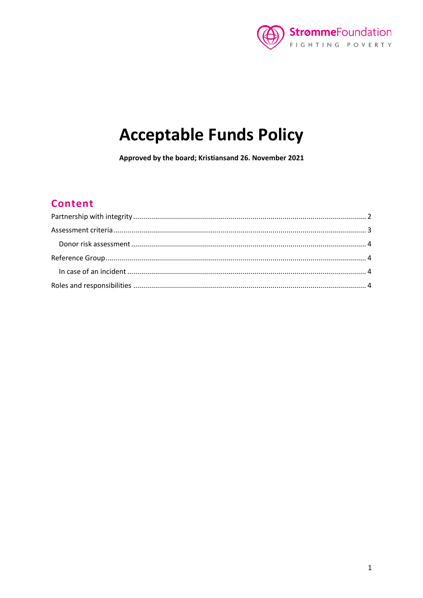

# **Acceptable Funds Policy**

Approved by the board; Kristiansand 26. November 2021

## **Content**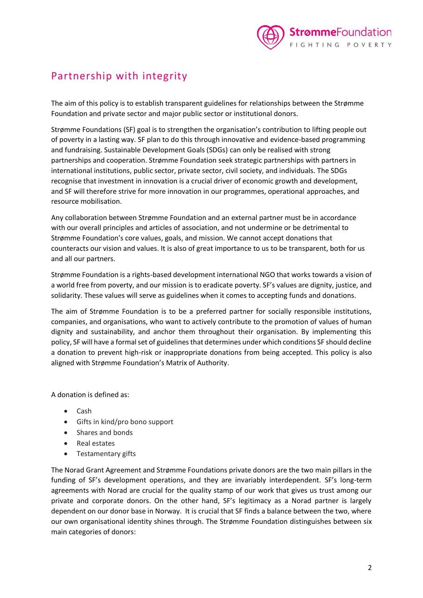

## <span id="page-1-0"></span>Partnership with integrity

The aim of this policy is to establish transparent guidelines for relationships between the Strømme Foundation and private sector and major public sector or institutional donors.

Strømme Foundations (SF) goal is to strengthen the organisation's contribution to lifting people out of poverty in a lasting way. SF plan to do this through innovative and evidence-based programming and fundraising. Sustainable Development Goals (SDGs) can only be realised with strong partnerships and cooperation. Strømme Foundation seek strategic partnerships with partners in international institutions, public sector, private sector, civil society, and individuals. The SDGs recognise that investment in innovation is a crucial driver of economic growth and development, and SF will therefore strive for more innovation in our programmes, operational approaches, and resource mobilisation.

Any collaboration between Strømme Foundation and an external partner must be in accordance with our overall principles and articles of association, and not undermine or be detrimental to Strømme Foundation's core values, goals, and mission. We cannot accept donations that counteracts our vision and values. It is also of great importance to us to be transparent, both for us and all our partners.

Strømme Foundation is a rights-based development international NGO that works towards a vision of a world free from poverty, and our mission is to eradicate poverty. SF's values are dignity, justice, and solidarity. These values will serve as guidelines when it comes to accepting funds and donations.

The aim of Strømme Foundation is to be a preferred partner for socially responsible institutions, companies, and organisations, who want to actively contribute to the promotion of values of human dignity and sustainability, and anchor them throughout their organisation. By implementing this policy, SF will have a formal set of guidelines that determines under which conditions SF should decline a donation to prevent high-risk or inappropriate donations from being accepted. This policy is also aligned with Strømme Foundation's Matrix of Authority.

A donation is defined as:

- Cash
- Gifts in kind/pro bono support
- Shares and bonds
- Real estates
- Testamentary gifts

The Norad Grant Agreement and Strømme Foundations private donors are the two main pillars in the funding of SF's development operations, and they are invariably interdependent. SF's long-term agreements with Norad are crucial for the quality stamp of our work that gives us trust among our private and corporate donors. On the other hand, SF's legitimacy as a Norad partner is largely dependent on our donor base in Norway. It is crucial that SF finds a balance between the two, where our own organisational identity shines through. The Strømme Foundation distinguishes between six main categories of donors: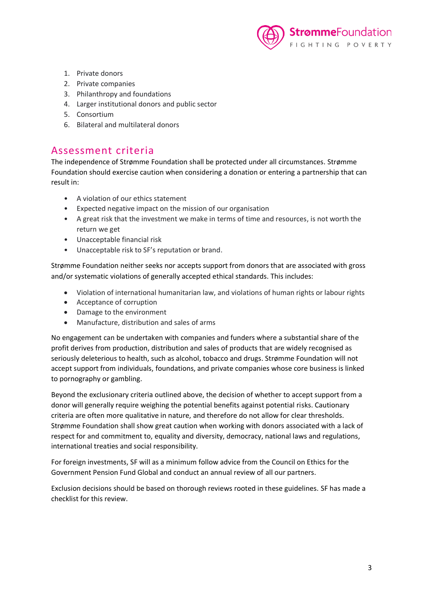

- 1. Private donors
- 2. Private companies
- 3. Philanthropy and foundations
- 4. Larger institutional donors and public sector
- 5. Consortium
- 6. Bilateral and multilateral donors

#### <span id="page-2-0"></span>Assessment criteria

The independence of Strømme Foundation shall be protected under all circumstances. Strømme Foundation should exercise caution when considering a donation or entering a partnership that can result in:

- A violation of our ethics statement
- Expected negative impact on the mission of our organisation
- A great risk that the investment we make in terms of time and resources, is not worth the return we get
- Unacceptable financial risk
- Unacceptable risk to SF's reputation or brand.

Strømme Foundation neither seeks nor accepts support from donors that are associated with gross and/or systematic violations of generally accepted ethical standards. This includes:

- Violation of international humanitarian law, and violations of human rights or labour rights
- Acceptance of corruption
- Damage to the environment
- Manufacture, distribution and sales of arms

No engagement can be undertaken with companies and funders where a substantial share of the profit derives from production, distribution and sales of products that are widely recognised as seriously deleterious to health, such as alcohol, tobacco and drugs. Strømme Foundation will not accept support from individuals, foundations, and private companies whose core business is linked to pornography or gambling.

Beyond the exclusionary criteria outlined above, the decision of whether to accept support from a donor will generally require weighing the potential benefits against potential risks. Cautionary criteria are often more qualitative in nature, and therefore do not allow for clear thresholds. Strømme Foundation shall show great caution when working with donors associated with a lack of respect for and commitment to, equality and diversity, democracy, national laws and regulations, international treaties and social responsibility.

For foreign investments, SF will as a minimum follow advice from the Council on Ethics for the Government Pension Fund Global and conduct an annual review of all our partners.

Exclusion decisions should be based on thorough reviews rooted in these guidelines. SF has made a checklist for this review.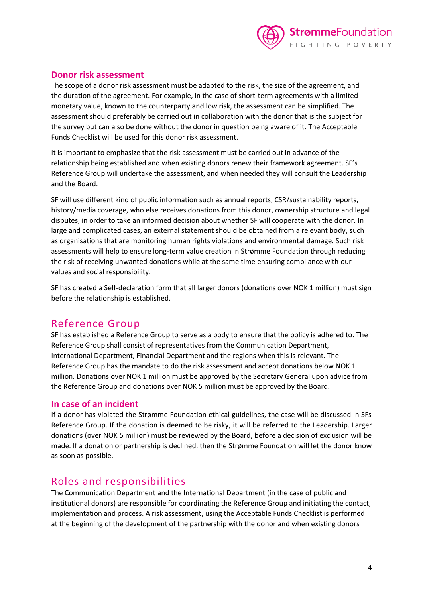

#### <span id="page-3-0"></span>**Donor risk assessment**

The scope of a donor risk assessment must be adapted to the risk, the size of the agreement, and the duration of the agreement. For example, in the case of short-term agreements with a limited monetary value, known to the counterparty and low risk, the assessment can be simplified. The assessment should preferably be carried out in collaboration with the donor that is the subject for the survey but can also be done without the donor in question being aware of it. The Acceptable Funds Checklist will be used for this donor risk assessment.

It is important to emphasize that the risk assessment must be carried out in advance of the relationship being established and when existing donors renew their framework agreement. SF's Reference Group will undertake the assessment, and when needed they will consult the Leadership and the Board.

SF will use different kind of public information such as annual reports, CSR/sustainability reports, history/media coverage, who else receives donations from this donor, ownership structure and legal disputes, in order to take an informed decision about whether SF will cooperate with the donor. In large and complicated cases, an external statement should be obtained from a relevant body, such as organisations that are monitoring human rights violations and environmental damage. Such risk assessments will help to ensure long-term value creation in Strømme Foundation through reducing the risk of receiving unwanted donations while at the same time ensuring compliance with our values and social responsibility.

SF has created a Self-declaration form that all larger donors (donations over NOK 1 million) must sign before the relationship is established.

#### <span id="page-3-1"></span>Reference Group

SF has established a Reference Group to serve as a body to ensure that the policy is adhered to. The Reference Group shall consist of representatives from the Communication Department, International Department, Financial Department and the regions when this is relevant. The Reference Group has the mandate to do the risk assessment and accept donations below NOK 1 million. Donations over NOK 1 million must be approved by the Secretary General upon advice from the Reference Group and donations over NOK 5 million must be approved by the Board.

#### <span id="page-3-2"></span>**In case of an incident**

If a donor has violated the Strømme Foundation ethical guidelines, the case will be discussed in SFs Reference Group. If the donation is deemed to be risky, it will be referred to the Leadership. Larger donations (over NOK 5 million) must be reviewed by the Board, before a decision of exclusion will be made. If a donation or partnership is declined, then the Strømme Foundation will let the donor know as soon as possible.

### <span id="page-3-3"></span>Roles and responsibilities

The Communication Department and the International Department (in the case of public and institutional donors) are responsible for coordinating the Reference Group and initiating the contact, implementation and process. A risk assessment, using the Acceptable Funds Checklist is performed at the beginning of the development of the partnership with the donor and when existing donors